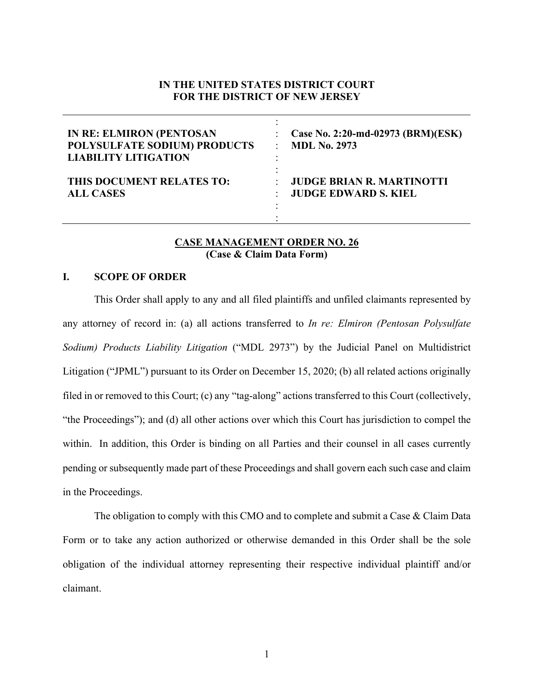### **IN THE UNITED STATES DISTRICT COURT FOR THE DISTRICT OF NEW JERSEY**

| <b>IN RE: ELMIRON (PENTOSAN</b><br>POLYSULFATE SODIUM) PRODUCTS<br><b>LIABILITY LITIGATION</b> | Case No. 2:20-md-02973 (BRM)(ESK)<br><b>MDL No. 2973</b> |
|------------------------------------------------------------------------------------------------|----------------------------------------------------------|
| THIS DOCUMENT RELATES TO:                                                                      | <b>JUDGE BRIAN R. MARTINOTTI</b>                         |
| <b>ALL CASES</b>                                                                               | <b>JUDGE EDWARD S. KIEL</b>                              |

#### **CASE MANAGEMENT ORDER NO. 26 (Case & Claim Data Form)**

#### **I. SCOPE OF ORDER**

This Order shall apply to any and all filed plaintiffs and unfiled claimants represented by any attorney of record in: (a) all actions transferred to *In re: Elmiron (Pentosan Polysulfate Sodium) Products Liability Litigation* ("MDL 2973") by the Judicial Panel on Multidistrict Litigation ("JPML") pursuant to its Order on December 15, 2020; (b) all related actions originally filed in or removed to this Court; (c) any "tag-along" actions transferred to this Court (collectively, "the Proceedings"); and (d) all other actions over which this Court has jurisdiction to compel the within. In addition, this Order is binding on all Parties and their counsel in all cases currently pending or subsequently made part of these Proceedings and shall govern each such case and claim in the Proceedings.

The obligation to comply with this CMO and to complete and submit a Case & Claim Data Form or to take any action authorized or otherwise demanded in this Order shall be the sole obligation of the individual attorney representing their respective individual plaintiff and/or claimant.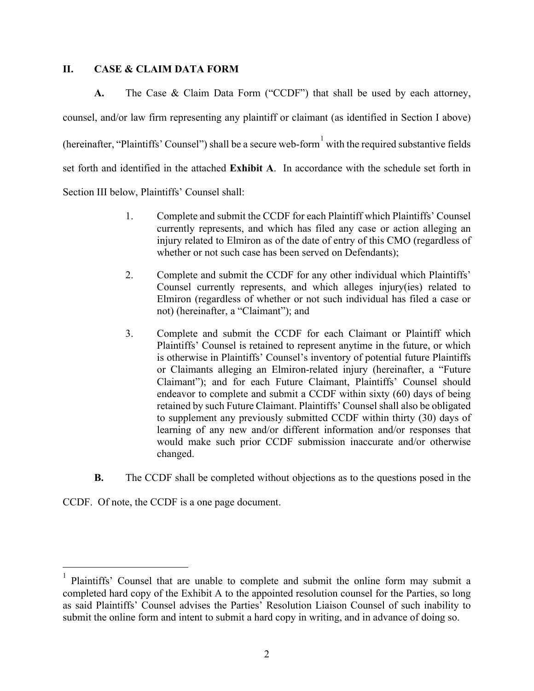### **II. CASE & CLAIM DATA FORM**

**A.** The Case & Claim Data Form ("CCDF") that shall be used by each attorney, counsel, and/or law firm representing any plaintiff or claimant (as identified in Section I above) (hereinafter, "Plaintiffs' Counsel") shall be a secure web-form  $\frac{1}{1}$  $\frac{1}{1}$  $\frac{1}{1}$  with the required substantive fields set forth and identified in the attached **Exhibit A**. In accordance with the schedule set forth in Section III below, Plaintiffs' Counsel shall:

- 1. Complete and submit the CCDF for each Plaintiff which Plaintiffs' Counsel currently represents, and which has filed any case or action alleging an injury related to Elmiron as of the date of entry of this CMO (regardless of whether or not such case has been served on Defendants);
- 2. Complete and submit the CCDF for any other individual which Plaintiffs' Counsel currently represents, and which alleges injury(ies) related to Elmiron (regardless of whether or not such individual has filed a case or not) (hereinafter, a "Claimant"); and
- 3. Complete and submit the CCDF for each Claimant or Plaintiff which Plaintiffs' Counsel is retained to represent anytime in the future, or which is otherwise in Plaintiffs' Counsel's inventory of potential future Plaintiffs or Claimants alleging an Elmiron-related injury (hereinafter, a "Future Claimant"); and for each Future Claimant, Plaintiffs' Counsel should endeavor to complete and submit a CCDF within sixty (60) days of being retained by such Future Claimant. Plaintiffs' Counsel shall also be obligated to supplement any previously submitted CCDF within thirty (30) days of learning of any new and/or different information and/or responses that would make such prior CCDF submission inaccurate and/or otherwise changed.
- **B.** The CCDF shall be completed without objections as to the questions posed in the

CCDF. Of note, the CCDF is a one page document.

<span id="page-1-0"></span><sup>1</sup> Plaintiffs' Counsel that are unable to complete and submit the online form may submit a completed hard copy of the Exhibit A to the appointed resolution counsel for the Parties, so long as said Plaintiffs' Counsel advises the Parties' Resolution Liaison Counsel of such inability to submit the online form and intent to submit a hard copy in writing, and in advance of doing so.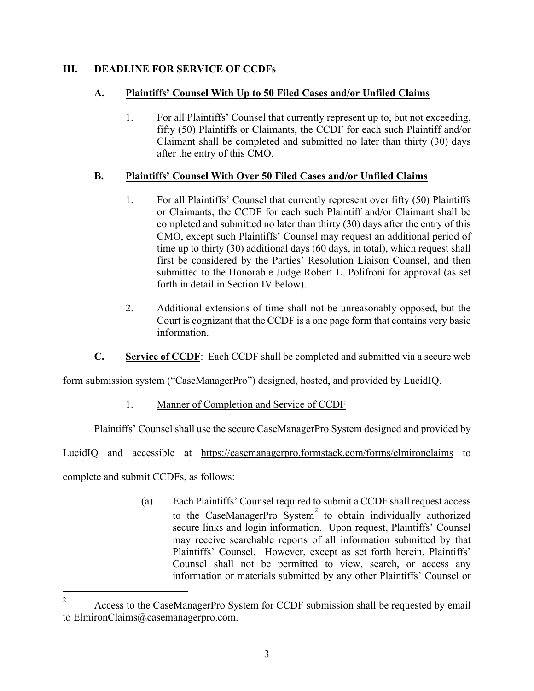# **III. DEADLINE FOR SERVICE OF CCDFs**

# **A. Plaintiffs' Counsel With Up to 50 Filed Cases and/or Unfiled Claims**

1. For all Plaintiffs' Counsel that currently represent up to, but not exceeding, fifty (50) Plaintiffs or Claimants, the CCDF for each such Plaintiff and/or Claimant shall be completed and submitted no later than thirty (30) days after the entry of this CMO.

# **B. Plaintiffs' Counsel With Over 50 Filed Cases and/or Unfiled Claims**

- 1. For all Plaintiffs' Counsel that currently represent over fifty (50) Plaintiffs or Claimants, the CCDF for each such Plaintiff and/or Claimant shall be completed and submitted no later than thirty (30) days after the entry of this CMO, except such Plaintiffs' Counsel may request an additional period of time up to thirty (30) additional days (60 days, in total), which request shall first be considered by the Parties' Resolution Liaison Counsel, and then submitted to the Honorable Judge Robert L. Polifroni for approval (as set forth in detail in Section IV below).
- 2. Additional extensions of time shall not be unreasonably opposed, but the Court is cognizant that the CCDF is a one page form that contains very basic information.
- **C. Service of CCDF**: Each CCDF shall be completed and submitted via a secure web

form submission system ("CaseManagerPro") designed, hosted, and provided by LucidIQ.

1. Manner of Completion and Service of CCDF

Plaintiffs' Counsel shall use the secure CaseManagerPro System designed and provided by

LucidIQ and accessible at <https://casemanagerpro.formstack.com/forms/elmironclaims> to

complete and submit CCDFs, as follows:

(a) Each Plaintiffs' Counsel required to submit a CCDF shall request access to the CaseManagerPro System<sup>[2](#page-2-0)</sup> to obtain individually authorized secure links and login information. Upon request, Plaintiffs' Counsel may receive searchable reports of all information submitted by that Plaintiffs' Counsel. However, except as set forth herein, Plaintiffs' Counsel shall not be permitted to view, search, or access any information or materials submitted by any other Plaintiffs' Counsel or

<span id="page-2-0"></span><sup>&</sup>lt;sup>2</sup> Access to the CaseManagerPro System for CCDF submission shall be requested by email to **ElmironClaims**@casemanagerpro.com.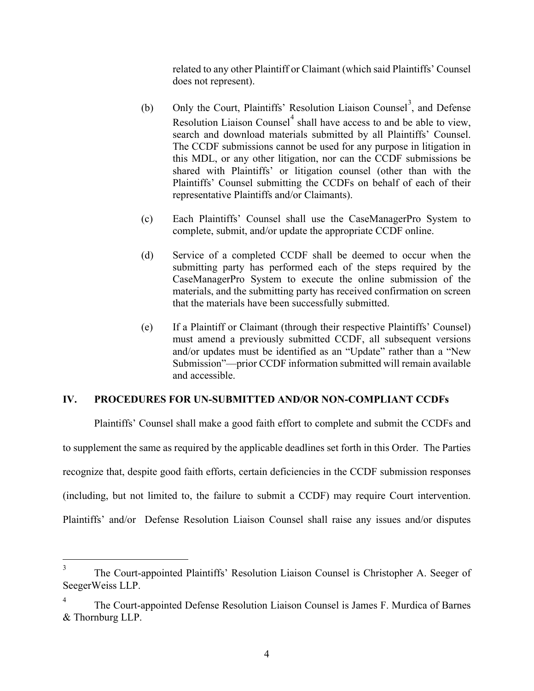related to any other Plaintiff or Claimant (which said Plaintiffs' Counsel does not represent).

- (b) Only the Court, Plaintiffs' Resolution Liaison Counsel<sup>[3](#page-3-0)</sup>, and Defense Resolution Liaison Counsel<sup>[4](#page-3-1)</sup> shall have access to and be able to view, search and download materials submitted by all Plaintiffs' Counsel. The CCDF submissions cannot be used for any purpose in litigation in this MDL, or any other litigation, nor can the CCDF submissions be shared with Plaintiffs' or litigation counsel (other than with the Plaintiffs' Counsel submitting the CCDFs on behalf of each of their representative Plaintiffs and/or Claimants).
- (c) Each Plaintiffs' Counsel shall use the CaseManagerPro System to complete, submit, and/or update the appropriate CCDF online.
- (d) Service of a completed CCDF shall be deemed to occur when the submitting party has performed each of the steps required by the CaseManagerPro System to execute the online submission of the materials, and the submitting party has received confirmation on screen that the materials have been successfully submitted.
- (e) If a Plaintiff or Claimant (through their respective Plaintiffs' Counsel) must amend a previously submitted CCDF, all subsequent versions and/or updates must be identified as an "Update" rather than a "New Submission"—prior CCDF information submitted will remain available and accessible.

### **IV. PROCEDURES FOR UN-SUBMITTED AND/OR NON-COMPLIANT CCDFs**

Plaintiffs' Counsel shall make a good faith effort to complete and submit the CCDFs and to supplement the same as required by the applicable deadlines set forth in this Order. The Parties recognize that, despite good faith efforts, certain deficiencies in the CCDF submission responses (including, but not limited to, the failure to submit a CCDF) may require Court intervention. Plaintiffs' and/or Defense Resolution Liaison Counsel shall raise any issues and/or disputes

<span id="page-3-0"></span><sup>&</sup>lt;sup>3</sup> The Court-appointed Plaintiffs' Resolution Liaison Counsel is Christopher A. Seeger of SeegerWeiss LLP.

<span id="page-3-1"></span><sup>4</sup> The Court-appointed Defense Resolution Liaison Counsel is James F. Murdica of Barnes & Thornburg LLP.